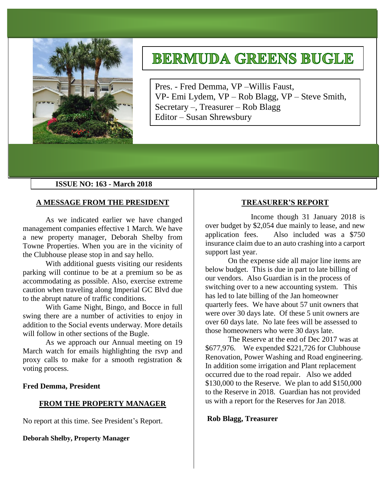

# **BERMUDA GREENS BUGLE**

Pres. - Fred Demma, VP –Willis Faust, VP- Emi Lydem, VP – Rob Blagg, VP – Steve Smith, Secretary –, Treasurer – Rob Blagg Editor – Susan Shrewsbury

## **ISSUE NO: 163 - March 2018**

## **A MESSAGE FROM THE PRESIDENT**

As we indicated earlier we have changed management companies effective 1 March. We have a new property manager, Deborah Shelby from Towne Properties. When you are in the vicinity of the Clubhouse please stop in and say hello.

With additional guests visiting our residents parking will continue to be at a premium so be as accommodating as possible. Also, exercise extreme caution when traveling along Imperial GC Blvd due to the abrupt nature of traffic conditions.

With Game Night, Bingo, and Bocce in full swing there are a number of activities to enjoy in addition to the Social events underway. More details will follow in other sections of the Bugle.

As we approach our Annual meeting on 19 March watch for emails highlighting the rsvp and proxy calls to make for a smooth registration & voting process.

#### **Fred Demma, President**

#### **FROM THE PROPERTY MANAGER**

No report at this time. See President's Report.

**Deborah Shelby, Property Manager**

## **TREASURER'S REPORT**

Income though 31 January 2018 is over budget by \$2,054 due mainly to lease, and new application fees. Also included was a \$750 insurance claim due to an auto crashing into a carport support last year.

On the expense side all major line items are below budget. This is due in part to late billing of our vendors. Also Guardian is in the process of switching over to a new accounting system. This has led to late billing of the Jan homeowner quarterly fees. We have about 57 unit owners that were over 30 days late. Of these 5 unit owners are over 60 days late. No late fees will be assessed to those homeowners who were 30 days late.

The Reserve at the end of Dec 2017 was at \$677,976. We expended \$221,726 for Clubhouse Renovation, Power Washing and Road engineering. In addition some irrigation and Plant replacement occurred due to the road repair. Also we added \$130,000 to the Reserve. We plan to add \$150,000 to the Reserve in 2018. Guardian has not provided us with a report for the Reserves for Jan 2018.

#### **Rob Blagg, Treasurer**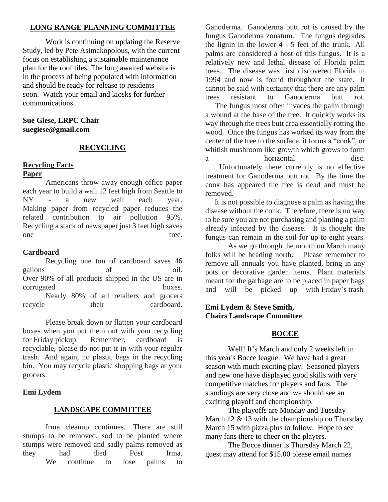# **LONG RANGE PLANNING COMMITTEE**

Work is continuing on updating the Reserve Study, led by Pete Asimakopolous, with the current focus on establishing a sustainable maintenance plan for the roof tiles. The long awaited website is in the process of being populated with information and should be ready for release to residents soon. Watch your email and kiosks for further communications.

## **Sue Giese, LRPC Chair suegiese@gmail.com**

# **RECYCLING**

# **Recycling Facts**

## **Paper**

Americans throw away enough office paper each year to build a wall 12 feet high from Seattle to NY - a new wall each year. Making paper from recycled paper reduces the related contribution to air pollution 95%. Recycling a stack of newspaper just 3 feet high saves one tree.

# **Cardboard**

Recycling one ton of cardboard saves 46 gallons of oil. Over 90% of all products shipped in the US are in corrugated boxes. Nearly 80% of all retailers and grocers recycle their cardboard.

Please break down or flatten your cardboard boxes when you put them out with your recycling for Friday pickup. Remember, cardboard is recyclable, please do not put it in with your regular trash. And again, no plastic bags in the recycling bin. You may recycle plastic shopping bags at your grocers.

# **Emi Lydem**

# **LANDSCAPE COMMITTEE**

Irma cleanup continues. There are still stumps to be removed, sod to be planted where stumps were removed and sadly palms removed as they had died Post Irma. We continue to lose palms to

Ganoderma. Ganoderma butt rot is caused by the fungus Ganoderma zonatum. The fungus degrades the lignin in the lower 4 - 5 feet of the trunk. All palms are considered a host of this fungus. It is a relatively new and lethal disease of Florida palm trees. The disease was first discovered Florida in 1994 and now is found throughout the state. It cannot be said with certainty that there are any palm trees resistant to Ganoderma butt rot.

The fungus most often invades the palm through a wound at the base of the tree. It quickly works its way through the trees butt area essentially rotting the wood. Once the fungus has worked its way from the center of the tree to the surface, it forms a "conk", or whitish mushroom like growth which grows to form a horizontal disc Unfortunately there currently is no effective

treatment for Ganoderma butt rot. By the time the conk has appeared the tree is dead and must be removed.

It is not possible to diagnose a palm as having the disease without the conk. Therefore, there is no way to be sure you are not purchasing and planting a palm already infected by the disease. It is thought the fungus can remain in the soil for up to eight years.

As we go through the month on March many folks will be heading north. Please remember to remove all annuals you have planted, bring in any pots or decorative garden items. Plant materials meant for the garbage are to be placed in paper bags and will be picked up with Friday's trash.

# **Emi Lydem & Steve Smith, Chairs Landscape Committee**

# **BOCCE**

Well! It's March and only 2 weeks left in this year's Bocce league. We have had a great season with much exciting play. Seasoned players and new one have displayed good skills with very competitive matches for players and fans. The standings are very close and we should see an exciting playoff and championship.

The playoffs are Monday and Tuesday March 12  $\&$  13 with the championship on Thursday March 15 with pizza plus to follow. Hope to see many fans there to cheer on the players.

The Bocce dinner is Thursday March 22, guest may attend for \$15.00 please email names